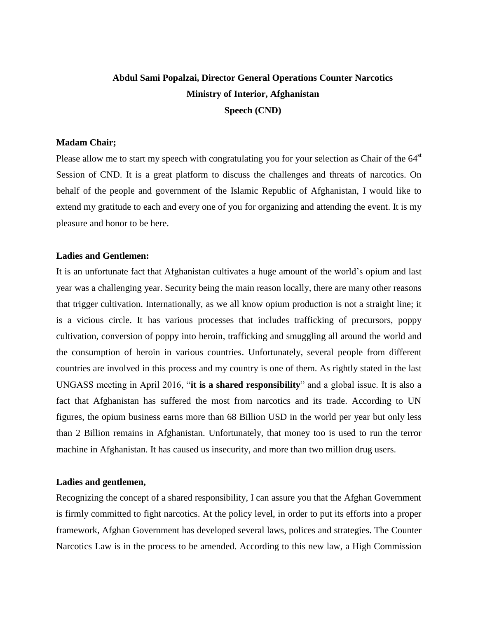# **Abdul Sami Popalzai, Director General Operations Counter Narcotics Ministry of Interior, Afghanistan Speech (CND)**

#### **Madam Chair;**

Please allow me to start my speech with congratulating you for your selection as Chair of the  $64<sup>st</sup>$ Session of CND. It is a great platform to discuss the challenges and threats of narcotics. On behalf of the people and government of the Islamic Republic of Afghanistan, I would like to extend my gratitude to each and every one of you for organizing and attending the event. It is my pleasure and honor to be here.

#### **Ladies and Gentlemen:**

It is an unfortunate fact that Afghanistan cultivates a huge amount of the world's opium and last year was a challenging year. Security being the main reason locally, there are many other reasons that trigger cultivation. Internationally, as we all know opium production is not a straight line; it is a vicious circle. It has various processes that includes trafficking of precursors, poppy cultivation, conversion of poppy into heroin, trafficking and smuggling all around the world and the consumption of heroin in various countries. Unfortunately, several people from different countries are involved in this process and my country is one of them. As rightly stated in the last UNGASS meeting in April 2016, "**it is a shared responsibility**" and a global issue. It is also a fact that Afghanistan has suffered the most from narcotics and its trade. According to UN figures, the opium business earns more than 68 Billion USD in the world per year but only less than 2 Billion remains in Afghanistan. Unfortunately, that money too is used to run the terror machine in Afghanistan. It has caused us insecurity, and more than two million drug users.

### **Ladies and gentlemen,**

Recognizing the concept of a shared responsibility, I can assure you that the Afghan Government is firmly committed to fight narcotics. At the policy level, in order to put its efforts into a proper framework, Afghan Government has developed several laws, polices and strategies. The Counter Narcotics Law is in the process to be amended. According to this new law, a High Commission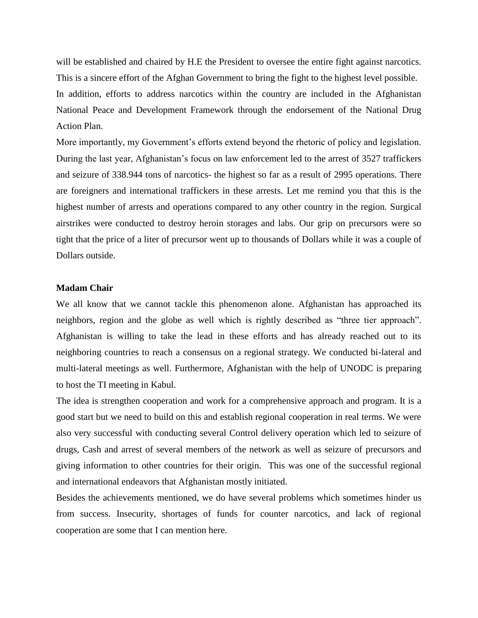will be established and chaired by H.E the President to oversee the entire fight against narcotics. This is a sincere effort of the Afghan Government to bring the fight to the highest level possible. In addition, efforts to address narcotics within the country are included in the Afghanistan National Peace and Development Framework through the endorsement of the National Drug Action Plan.

More importantly, my Government's efforts extend beyond the rhetoric of policy and legislation. During the last year, Afghanistan's focus on law enforcement led to the arrest of 3527 traffickers and seizure of 338.944 tons of narcotics- the highest so far as a result of 2995 operations. There are foreigners and international traffickers in these arrests. Let me remind you that this is the highest number of arrests and operations compared to any other country in the region. Surgical airstrikes were conducted to destroy heroin storages and labs. Our grip on precursors were so tight that the price of a liter of precursor went up to thousands of Dollars while it was a couple of Dollars outside.

#### **Madam Chair**

We all know that we cannot tackle this phenomenon alone. Afghanistan has approached its neighbors, region and the globe as well which is rightly described as "three tier approach". Afghanistan is willing to take the lead in these efforts and has already reached out to its neighboring countries to reach a consensus on a regional strategy. We conducted bi-lateral and multi-lateral meetings as well. Furthermore, Afghanistan with the help of UNODC is preparing to host the TI meeting in Kabul.

The idea is strengthen cooperation and work for a comprehensive approach and program. It is a good start but we need to build on this and establish regional cooperation in real terms. We were also very successful with conducting several Control delivery operation which led to seizure of drugs, Cash and arrest of several members of the network as well as seizure of precursors and giving information to other countries for their origin. This was one of the successful regional and international endeavors that Afghanistan mostly initiated.

Besides the achievements mentioned, we do have several problems which sometimes hinder us from success. Insecurity, shortages of funds for counter narcotics, and lack of regional cooperation are some that I can mention here.